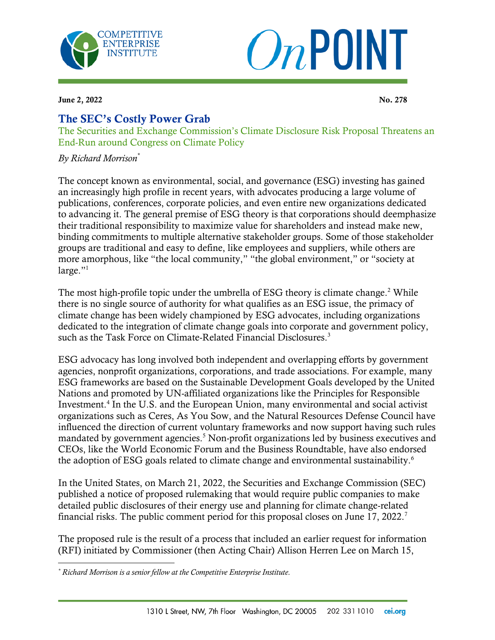



**June 2, 2022** No. 278

 $\overline{\phantom{a}}$ 

## The SEC's Costly Power Grab

The Securities and Exchange Commission's Climate Disclosure Risk Proposal Threatens an End-Run around Congress on Climate Policy

*By Richard Morrison\**

The concept known as environmental, social, and governance (ESG) investing has gained an increasingly high profile in recent years, with advocates producing a large volume of publications, conferences, corporate policies, and even entire new organizations dedicated to advancing it. The general premise of ESG theory is that corporations should deemphasize their traditional responsibility to maximize value for shareholders and instead make new, binding commitments to multiple alternative stakeholder groups. Some of those stakeholder groups are traditional and easy to define, like employees and suppliers, while others are more amorphous, like "the local community," "the global environment," or "society at large." $1$ 

The most high-profile topic under the umbrella of ESG theory is climate change.<sup>2</sup> While there is no single source of authority for what qualifies as an ESG issue, the primacy of climate change has been widely championed by ESG advocates, including organizations dedicated to the integration of climate change goals into corporate and government policy, such as the Task Force on Climate-Related Financial Disclosures.<sup>3</sup>

ESG advocacy has long involved both independent and overlapping efforts by government agencies, nonprofit organizations, corporations, and trade associations. For example, many ESG frameworks are based on the Sustainable Development Goals developed by the United Nations and promoted by UN-affiliated organizations like the Principles for Responsible Investment.<sup>4</sup> In the U.S. and the European Union, many environmental and social activist organizations such as Ceres, As You Sow, and the Natural Resources Defense Council have influenced the direction of current voluntary frameworks and now support having such rules mandated by government agencies.<sup>5</sup> Non-profit organizations led by business executives and CEOs, like the World Economic Forum and the Business Roundtable, have also endorsed the adoption of ESG goals related to climate change and environmental sustainability.<sup>6</sup>

In the United States, on March 21, 2022, the Securities and Exchange Commission (SEC) published a notice of proposed rulemaking that would require public companies to make detailed public disclosures of their energy use and planning for climate change-related financial risks. The public comment period for this proposal closes on June 17, 2022.<sup>7</sup>

The proposed rule is the result of a process that included an earlier request for information (RFI) initiated by Commissioner (then Acting Chair) Allison Herren Lee on March 15,

*<sup>\*</sup> Richard Morrison is a senior fellow at the Competitive Enterprise Institute.*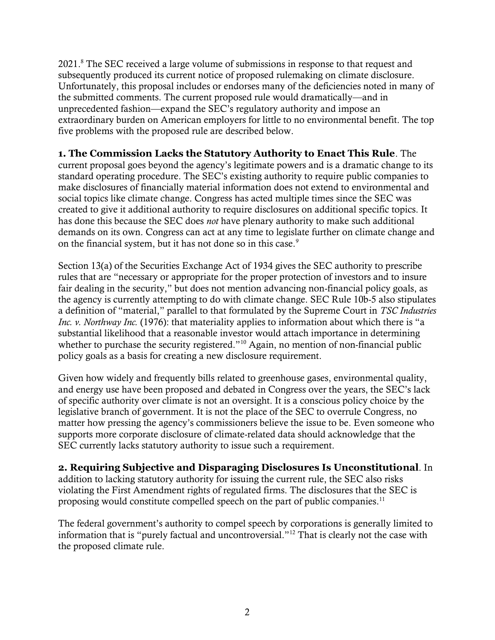2021.<sup>8</sup> The SEC received a large volume of submissions in response to that request and subsequently produced its current notice of proposed rulemaking on climate disclosure. Unfortunately, this proposal includes or endorses many of the deficiencies noted in many of the submitted comments. The current proposed rule would dramatically—and in unprecedented fashion—expand the SEC's regulatory authority and impose an extraordinary burden on American employers for little to no environmental benefit. The top five problems with the proposed rule are described below.

**1. The Commission Lacks the Statutory Authority to Enact This Rule**. The current proposal goes beyond the agency's legitimate powers and is a dramatic change to its standard operating procedure. The SEC's existing authority to require public companies to make disclosures of financially material information does not extend to environmental and social topics like climate change. Congress has acted multiple times since the SEC was created to give it additional authority to require disclosures on additional specific topics. It has done this because the SEC does *not* have plenary authority to make such additional demands on its own. Congress can act at any time to legislate further on climate change and on the financial system, but it has not done so in this case.<sup>9</sup>

Section 13(a) of the Securities Exchange Act of 1934 gives the SEC authority to prescribe rules that are "necessary or appropriate for the proper protection of investors and to insure fair dealing in the security," but does not mention advancing non-financial policy goals, as the agency is currently attempting to do with climate change. SEC Rule 10b-5 also stipulates a definition of "material," parallel to that formulated by the Supreme Court in *TSC Industries Inc. v. Northway Inc.* (1976): that materiality applies to information about which there is "a substantial likelihood that a reasonable investor would attach importance in determining whether to purchase the security registered."<sup>10</sup> Again, no mention of non-financial public policy goals as a basis for creating a new disclosure requirement.

Given how widely and frequently bills related to greenhouse gases, environmental quality, and energy use have been proposed and debated in Congress over the years, the SEC's lack of specific authority over climate is not an oversight. It is a conscious policy choice by the legislative branch of government. It is not the place of the SEC to overrule Congress, no matter how pressing the agency's commissioners believe the issue to be. Even someone who supports more corporate disclosure of climate-related data should acknowledge that the SEC currently lacks statutory authority to issue such a requirement.

**2. Requiring Subjective and Disparaging Disclosures Is Unconstitutional**. In addition to lacking statutory authority for issuing the current rule, the SEC also risks violating the First Amendment rights of regulated firms. The disclosures that the SEC is proposing would constitute compelled speech on the part of public companies.<sup>11</sup>

The federal government's authority to compel speech by corporations is generally limited to information that is "purely factual and uncontroversial."<sup>12</sup> That is clearly not the case with the proposed climate rule.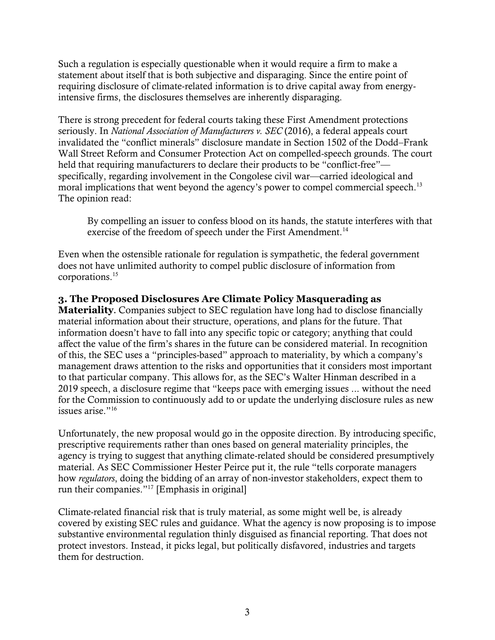Such a regulation is especially questionable when it would require a firm to make a statement about itself that is both subjective and disparaging. Since the entire point of requiring disclosure of climate-related information is to drive capital away from energyintensive firms, the disclosures themselves are inherently disparaging.

There is strong precedent for federal courts taking these First Amendment protections seriously. In *National Association of Manufacturers v. SEC* (2016), a federal appeals court invalidated the "conflict minerals" disclosure mandate in Section 1502 of the Dodd–Frank Wall Street Reform and Consumer Protection Act on compelled-speech grounds. The court held that requiring manufacturers to declare their products to be "conflict-free" specifically, regarding involvement in the Congolese civil war—carried ideological and moral implications that went beyond the agency's power to compel commercial speech.<sup>13</sup> The opinion read:

By compelling an issuer to confess blood on its hands, the statute interferes with that exercise of the freedom of speech under the First Amendment.<sup>14</sup>

Even when the ostensible rationale for regulation is sympathetic, the federal government does not have unlimited authority to compel public disclosure of information from corporations.<sup>15</sup>

## **3. The Proposed Disclosures Are Climate Policy Masquerading as**

**Materiality**. Companies subject to SEC regulation have long had to disclose financially material information about their structure, operations, and plans for the future. That information doesn't have to fall into any specific topic or category; anything that could affect the value of the firm's shares in the future can be considered material. In recognition of this, the SEC uses a "principles-based" approach to materiality, by which a company's management draws attention to the risks and opportunities that it considers most important to that particular company. This allows for, as the SEC's Walter Hinman described in a 2019 speech, a disclosure regime that "keeps pace with emerging issues ... without the need for the Commission to continuously add to or update the underlying disclosure rules as new issues arise."<sup>16</sup>

Unfortunately, the new proposal would go in the opposite direction. By introducing specific, prescriptive requirements rather than ones based on general materiality principles, the agency is trying to suggest that anything climate-related should be considered presumptively material. As SEC Commissioner Hester Peirce put it, the rule "tells corporate managers how *regulators*, doing the bidding of an array of non-investor stakeholders, expect them to run their companies."<sup>17</sup> [Emphasis in original]

Climate-related financial risk that is truly material, as some might well be, is already covered by existing SEC rules and guidance. What the agency is now proposing is to impose substantive environmental regulation thinly disguised as financial reporting. That does not protect investors. Instead, it picks legal, but politically disfavored, industries and targets them for destruction.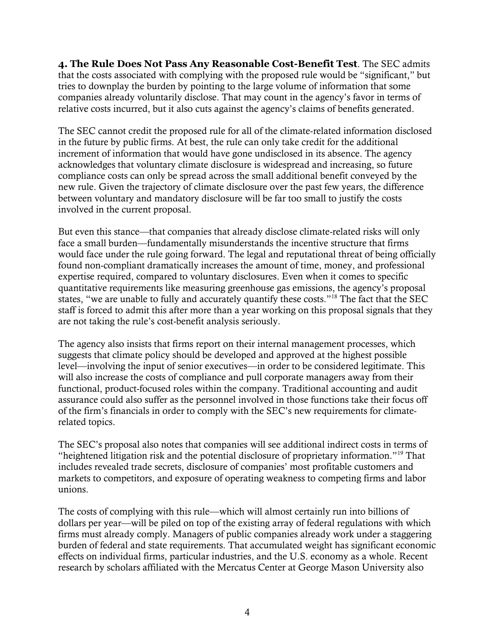**4. The Rule Does Not Pass Any Reasonable Cost-Benefit Test**. The SEC admits that the costs associated with complying with the proposed rule would be "significant," but tries to downplay the burden by pointing to the large volume of information that some companies already voluntarily disclose. That may count in the agency's favor in terms of relative costs incurred, but it also cuts against the agency's claims of benefits generated.

The SEC cannot credit the proposed rule for all of the climate-related information disclosed in the future by public firms. At best, the rule can only take credit for the additional increment of information that would have gone undisclosed in its absence. The agency acknowledges that voluntary climate disclosure is widespread and increasing, so future compliance costs can only be spread across the small additional benefit conveyed by the new rule. Given the trajectory of climate disclosure over the past few years, the difference between voluntary and mandatory disclosure will be far too small to justify the costs involved in the current proposal.

But even this stance—that companies that already disclose climate-related risks will only face a small burden—fundamentally misunderstands the incentive structure that firms would face under the rule going forward. The legal and reputational threat of being officially found non-compliant dramatically increases the amount of time, money, and professional expertise required, compared to voluntary disclosures. Even when it comes to specific quantitative requirements like measuring greenhouse gas emissions, the agency's proposal states, "we are unable to fully and accurately quantify these costs."<sup>18</sup> The fact that the SEC staff is forced to admit this after more than a year working on this proposal signals that they are not taking the rule's cost-benefit analysis seriously.

The agency also insists that firms report on their internal management processes, which suggests that climate policy should be developed and approved at the highest possible level—involving the input of senior executives—in order to be considered legitimate. This will also increase the costs of compliance and pull corporate managers away from their functional, product-focused roles within the company. Traditional accounting and audit assurance could also suffer as the personnel involved in those functions take their focus off of the firm's financials in order to comply with the SEC's new requirements for climaterelated topics.

The SEC's proposal also notes that companies will see additional indirect costs in terms of "heightened litigation risk and the potential disclosure of proprietary information."<sup>19</sup> That includes revealed trade secrets, disclosure of companies' most profitable customers and markets to competitors, and exposure of operating weakness to competing firms and labor unions.

The costs of complying with this rule—which will almost certainly run into billions of dollars per year—will be piled on top of the existing array of federal regulations with which firms must already comply. Managers of public companies already work under a staggering burden of federal and state requirements. That accumulated weight has significant economic effects on individual firms, particular industries, and the U.S. economy as a whole. Recent research by scholars affiliated with the Mercatus Center at George Mason University also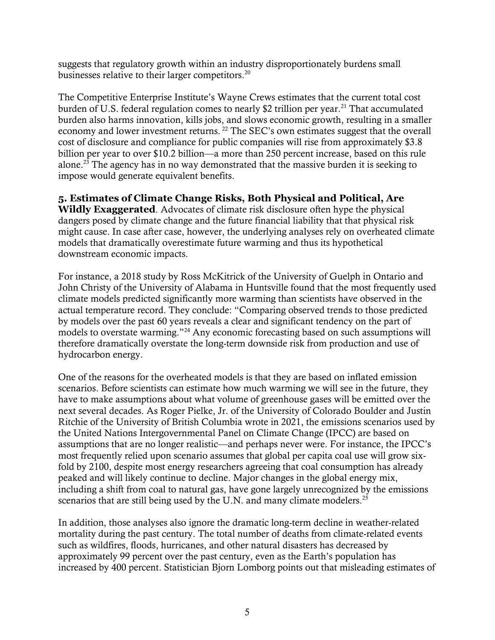suggests that regulatory growth within an industry disproportionately burdens small businesses relative to their larger competitors.<sup>20</sup>

The Competitive Enterprise Institute's Wayne Crews estimates that the current total cost burden of U.S. federal regulation comes to nearly \$2 trillion per year.<sup>21</sup> That accumulated burden also harms innovation, kills jobs, and slows economic growth, resulting in a smaller economy and lower investment returns.<sup>22</sup> The SEC's own estimates suggest that the overall cost of disclosure and compliance for public companies will rise from approximately \$3.8 billion per year to over \$10.2 billion—a more than 250 percent increase, based on this rule alone.<sup>23</sup> The agency has in no way demonstrated that the massive burden it is seeking to impose would generate equivalent benefits.

## **5. Estimates of Climate Change Risks, Both Physical and Political, Are**

**Wildly Exaggerated**. Advocates of climate risk disclosure often hype the physical dangers posed by climate change and the future financial liability that that physical risk might cause. In case after case, however, the underlying analyses rely on overheated climate models that dramatically overestimate future warming and thus its hypothetical downstream economic impacts.

For instance, a 2018 study by Ross McKitrick of the University of Guelph in Ontario and John Christy of the University of Alabama in Huntsville found that the most frequently used climate models predicted significantly more warming than scientists have observed in the actual temperature record. They conclude: "Comparing observed trends to those predicted by models over the past 60 years reveals a clear and significant tendency on the part of models to overstate warming."<sup>24</sup> Any economic forecasting based on such assumptions will therefore dramatically overstate the long-term downside risk from production and use of hydrocarbon energy.

One of the reasons for the overheated models is that they are based on inflated emission scenarios. Before scientists can estimate how much warming we will see in the future, they have to make assumptions about what volume of greenhouse gases will be emitted over the next several decades. As Roger Pielke, Jr. of the University of Colorado Boulder and Justin Ritchie of the University of British Columbia wrote in 2021, the emissions scenarios used by the United Nations Intergovernmental Panel on Climate Change (IPCC) are based on assumptions that are no longer realistic—and perhaps never were. For instance, the IPCC's most frequently relied upon scenario assumes that global per capita coal use will grow sixfold by 2100, despite most energy researchers agreeing that coal consumption has already peaked and will likely continue to decline. Major changes in the global energy mix, including a shift from coal to natural gas, have gone largely unrecognized by the emissions scenarios that are still being used by the U.N. and many climate modelers.<sup>25</sup>

In addition, those analyses also ignore the dramatic long-term decline in weather-related mortality during the past century. The total number of deaths from climate-related events such as wildfires, floods, hurricanes, and other natural disasters has decreased by approximately 99 percent over the past century, even as the Earth's population has increased by 400 percent. Statistician Bjorn Lomborg points out that misleading estimates of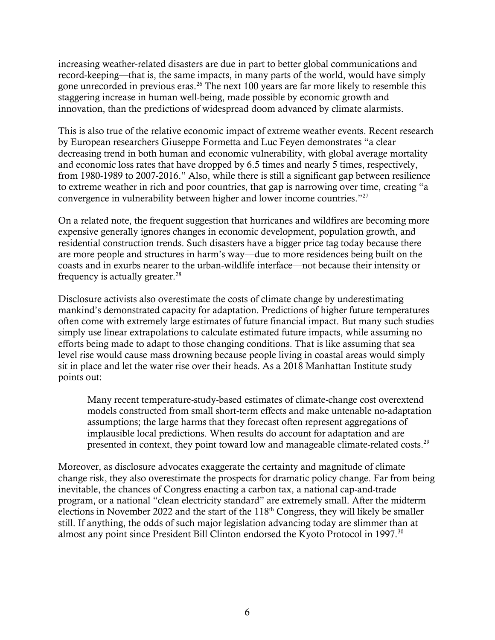increasing weather-related disasters are due in part to better global communications and record-keeping—that is, the same impacts, in many parts of the world, would have simply gone unrecorded in previous eras.<sup>26</sup> The next 100 years are far more likely to resemble this staggering increase in human well-being, made possible by economic growth and innovation, than the predictions of widespread doom advanced by climate alarmists.

This is also true of the relative economic impact of extreme weather events. Recent research by European researchers Giuseppe Formetta and Luc Feyen demonstrates "a clear decreasing trend in both human and economic vulnerability, with global average mortality and economic loss rates that have dropped by 6.5 times and nearly 5 times, respectively, from 1980-1989 to 2007-2016." Also, while there is still a significant gap between resilience to extreme weather in rich and poor countries, that gap is narrowing over time, creating "a convergence in vulnerability between higher and lower income countries."<sup>27</sup>

On a related note, the frequent suggestion that hurricanes and wildfires are becoming more expensive generally ignores changes in economic development, population growth, and residential construction trends. Such disasters have a bigger price tag today because there are more people and structures in harm's way—due to more residences being built on the coasts and in exurbs nearer to the urban-wildlife interface—not because their intensity or frequency is actually greater. $^{28}$ 

Disclosure activists also overestimate the costs of climate change by underestimating mankind's demonstrated capacity for adaptation. Predictions of higher future temperatures often come with extremely large estimates of future financial impact. But many such studies simply use linear extrapolations to calculate estimated future impacts, while assuming no efforts being made to adapt to those changing conditions. That is like assuming that sea level rise would cause mass drowning because people living in coastal areas would simply sit in place and let the water rise over their heads. As a 2018 Manhattan Institute study points out:

Many recent temperature-study-based estimates of climate-change cost overextend models constructed from small short-term effects and make untenable no-adaptation assumptions; the large harms that they forecast often represent aggregations of implausible local predictions. When results do account for adaptation and are presented in context, they point toward low and manageable climate-related costs.<sup>29</sup>

Moreover, as disclosure advocates exaggerate the certainty and magnitude of climate change risk, they also overestimate the prospects for dramatic policy change. Far from being inevitable, the chances of Congress enacting a carbon tax, a national cap-and-trade program, or a national "clean electricity standard" are extremely small. After the midterm elections in November 2022 and the start of the 118<sup>th</sup> Congress, they will likely be smaller still. If anything, the odds of such major legislation advancing today are slimmer than at almost any point since President Bill Clinton endorsed the Kyoto Protocol in 1997.<sup>30</sup>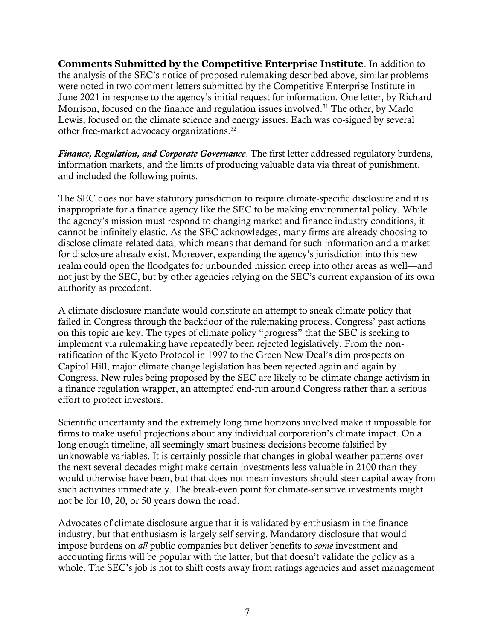**Comments Submitted by the Competitive Enterprise Institute**. In addition to the analysis of the SEC's notice of proposed rulemaking described above, similar problems were noted in two comment letters submitted by the Competitive Enterprise Institute in June 2021 in response to the agency's initial request for information. One letter, by Richard Morrison, focused on the finance and regulation issues involved.<sup>31</sup> The other, by Marlo Lewis, focused on the climate science and energy issues. Each was co-signed by several other free-market advocacy organizations.<sup>32</sup>

*Finance, Regulation, and Corporate Governance*. The first letter addressed regulatory burdens, information markets, and the limits of producing valuable data via threat of punishment, and included the following points.

The SEC does not have statutory jurisdiction to require climate-specific disclosure and it is inappropriate for a finance agency like the SEC to be making environmental policy. While the agency's mission must respond to changing market and finance industry conditions, it cannot be infinitely elastic. As the SEC acknowledges, many firms are already choosing to disclose climate-related data, which means that demand for such information and a market for disclosure already exist. Moreover, expanding the agency's jurisdiction into this new realm could open the floodgates for unbounded mission creep into other areas as well—and not just by the SEC, but by other agencies relying on the SEC's current expansion of its own authority as precedent.

A climate disclosure mandate would constitute an attempt to sneak climate policy that failed in Congress through the backdoor of the rulemaking process. Congress' past actions on this topic are key. The types of climate policy "progress" that the SEC is seeking to implement via rulemaking have repeatedly been rejected legislatively. From the nonratification of the Kyoto Protocol in 1997 to the Green New Deal's dim prospects on Capitol Hill, major climate change legislation has been rejected again and again by Congress. New rules being proposed by the SEC are likely to be climate change activism in a finance regulation wrapper, an attempted end-run around Congress rather than a serious effort to protect investors.

Scientific uncertainty and the extremely long time horizons involved make it impossible for firms to make useful projections about any individual corporation's climate impact. On a long enough timeline, all seemingly smart business decisions become falsified by unknowable variables. It is certainly possible that changes in global weather patterns over the next several decades might make certain investments less valuable in 2100 than they would otherwise have been, but that does not mean investors should steer capital away from such activities immediately. The break-even point for climate-sensitive investments might not be for 10, 20, or 50 years down the road.

Advocates of climate disclosure argue that it is validated by enthusiasm in the finance industry, but that enthusiasm is largely self-serving. Mandatory disclosure that would impose burdens on *all* public companies but deliver benefits to *some* investment and accounting firms will be popular with the latter, but that doesn't validate the policy as a whole. The SEC's job is not to shift costs away from ratings agencies and asset management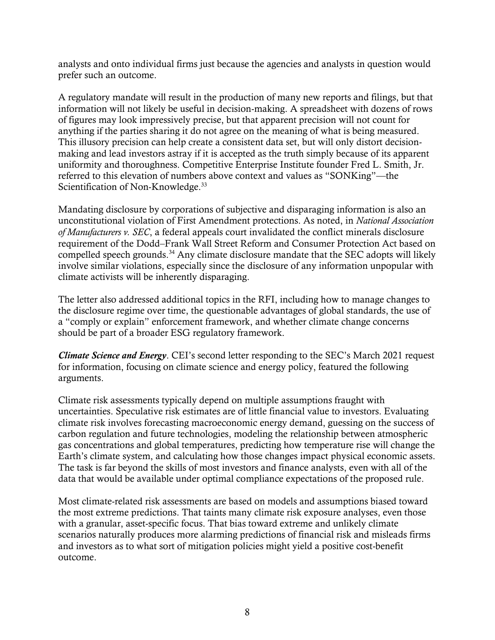analysts and onto individual firms just because the agencies and analysts in question would prefer such an outcome.

A regulatory mandate will result in the production of many new reports and filings, but that information will not likely be useful in decision-making. A spreadsheet with dozens of rows of figures may look impressively precise, but that apparent precision will not count for anything if the parties sharing it do not agree on the meaning of what is being measured. This illusory precision can help create a consistent data set, but will only distort decisionmaking and lead investors astray if it is accepted as the truth simply because of its apparent uniformity and thoroughness. Competitive Enterprise Institute founder Fred L. Smith, Jr. referred to this elevation of numbers above context and values as "SONKing"—the Scientification of Non-Knowledge.<sup>33</sup>

Mandating disclosure by corporations of subjective and disparaging information is also an unconstitutional violation of First Amendment protections. As noted, in *National Association of Manufacturers v. SEC*, a federal appeals court invalidated the conflict minerals disclosure requirement of the Dodd–Frank Wall Street Reform and Consumer Protection Act based on compelled speech grounds.<sup>34</sup> Any climate disclosure mandate that the SEC adopts will likely involve similar violations, especially since the disclosure of any information unpopular with climate activists will be inherently disparaging.

The letter also addressed additional topics in the RFI, including how to manage changes to the disclosure regime over time, the questionable advantages of global standards, the use of a "comply or explain" enforcement framework, and whether climate change concerns should be part of a broader ESG regulatory framework.

*Climate Science and Energy*. CEI's second letter responding to the SEC's March 2021 request for information, focusing on climate science and energy policy, featured the following arguments.

Climate risk assessments typically depend on multiple assumptions fraught with uncertainties. Speculative risk estimates are of little financial value to investors. Evaluating climate risk involves forecasting macroeconomic energy demand, guessing on the success of carbon regulation and future technologies, modeling the relationship between atmospheric gas concentrations and global temperatures, predicting how temperature rise will change the Earth's climate system, and calculating how those changes impact physical economic assets. The task is far beyond the skills of most investors and finance analysts, even with all of the data that would be available under optimal compliance expectations of the proposed rule.

Most climate-related risk assessments are based on models and assumptions biased toward the most extreme predictions. That taints many climate risk exposure analyses, even those with a granular, asset-specific focus. That bias toward extreme and unlikely climate scenarios naturally produces more alarming predictions of financial risk and misleads firms and investors as to what sort of mitigation policies might yield a positive cost-benefit outcome.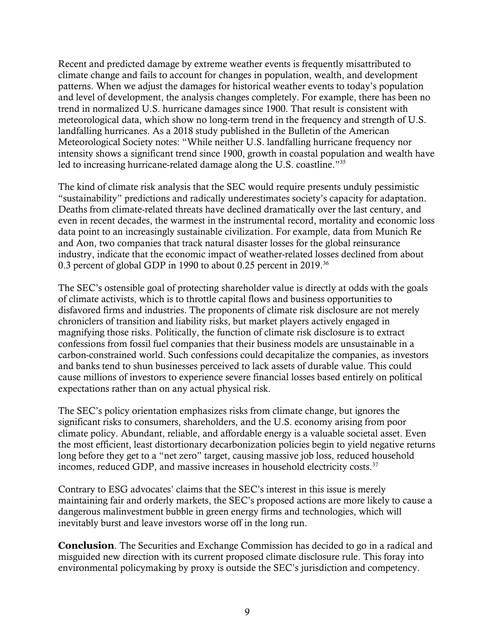Recent and predicted damage by extreme weather events is frequently misattributed to climate change and fails to account for changes in population, wealth, and development patterns. When we adjust the damages for historical weather events to today's population and level of development, the analysis changes completely. For example, there has been no trend in normalized U.S. hurricane damages since 1900. That result is consistent with meteorological data, which show no long-term trend in the frequency and strength of U.S. landfalling hurricanes. As a 2018 study published in the Bulletin of the American Meteorological Society notes: "While neither U.S. landfalling hurricane frequency nor intensity shows a significant trend since 1900, growth in coastal population and wealth have led to increasing hurricane-related damage along the U.S. coastline."<sup>35</sup>

The kind of climate risk analysis that the SEC would require presents unduly pessimistic "sustainability" predictions and radically underestimates society's capacity for adaptation. Deaths from climate-related threats have declined dramatically over the last century, and even in recent decades, the warmest in the instrumental record, mortality and economic loss data point to an increasingly sustainable civilization. For example, data from Munich Re and Aon, two companies that track natural disaster losses for the global reinsurance industry, indicate that the economic impact of weather-related losses declined from about 0.3 percent of global GDP in 1990 to about 0.25 percent in 2019.<sup>36</sup>

The SEC's ostensible goal of protecting shareholder value is directly at odds with the goals of climate activists, which is to throttle capital flows and business opportunities to disfavored firms and industries. The proponents of climate risk disclosure are not merely chroniclers of transition and liability risks, but market players actively engaged in magnifying those risks. Politically, the function of climate risk disclosure is to extract confessions from fossil fuel companies that their business models are unsustainable in a carbon-constrained world. Such confessions could decapitalize the companies, as investors and banks tend to shun businesses perceived to lack assets of durable value. This could cause millions of investors to experience severe financial losses based entirely on political expectations rather than on any actual physical risk.

The SEC's policy orientation emphasizes risks from climate change, but ignores the significant risks to consumers, shareholders, and the U.S. economy arising from poor climate policy. Abundant, reliable, and affordable energy is a valuable societal asset. Even the most efficient, least distortionary decarbonization policies begin to yield negative returns long before they get to a "net zero" target, causing massive job loss, reduced household incomes, reduced GDP, and massive increases in household electricity costs.<sup>37</sup>

Contrary to ESG advocates' claims that the SEC's interest in this issue is merely maintaining fair and orderly markets, the SEC's proposed actions are more likely to cause a dangerous malinvestment bubble in green energy firms and technologies, which will inevitably burst and leave investors worse off in the long run.

**Conclusion**. The Securities and Exchange Commission has decided to go in a radical and misguided new direction with its current proposed climate disclosure rule. This foray into environmental policymaking by proxy is outside the SEC's jurisdiction and competency.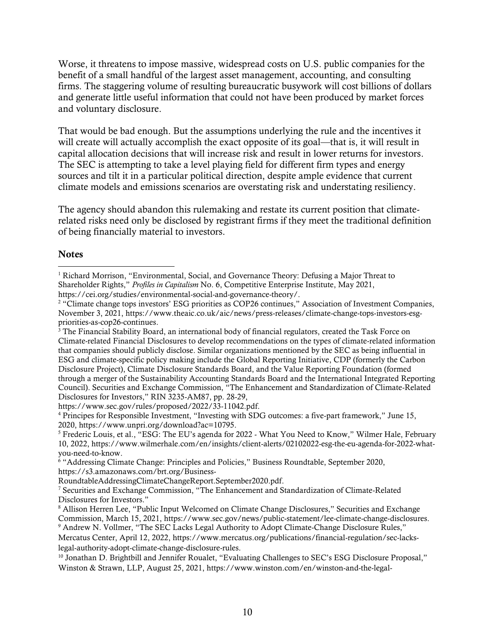Worse, it threatens to impose massive, widespread costs on U.S. public companies for the benefit of a small handful of the largest asset management, accounting, and consulting firms. The staggering volume of resulting bureaucratic busywork will cost billions of dollars and generate little useful information that could not have been produced by market forces and voluntary disclosure.

That would be bad enough. But the assumptions underlying the rule and the incentives it will create will actually accomplish the exact opposite of its goal—that is, it will result in capital allocation decisions that will increase risk and result in lower returns for investors. The SEC is attempting to take a level playing field for different firm types and energy sources and tilt it in a particular political direction, despite ample evidence that current climate models and emissions scenarios are overstating risk and understating resiliency.

The agency should abandon this rulemaking and restate its current position that climaterelated risks need only be disclosed by registrant firms if they meet the traditional definition of being financially material to investors.

## **Notes**

<sup>&</sup>lt;sup>1</sup> Richard Morrison, "Environmental, Social, and Governance Theory: Defusing a Major Threat to Shareholder Rights," *Profiles in Capitalism* No. 6, Competitive Enterprise Institute, May 2021, https://cei.org/studies/environmental-social-and-governance-theory/.  $\overline{\phantom{a}}$ 

<sup>&</sup>lt;sup>2</sup> "Climate change tops investors' ESG priorities as COP26 continues," Association of Investment Companies, November 3, 2021, [https://www.theaic.co.uk/aic/news/press-releases/climate-change-tops-investors-esg](https://www.theaic.co.uk/aic/news/press-releases/climate-change-tops-investors-esg-priorities-as-cop26-continues)[priorities-as-cop26-continues.](https://www.theaic.co.uk/aic/news/press-releases/climate-change-tops-investors-esg-priorities-as-cop26-continues)

 $3$  The Financial Stability Board, an international body of financial regulators, created the Task Force on Climate-related Financial Disclosures to develop recommendations on the types of climate-related information that companies should publicly disclose. Similar organizations mentioned by the SEC as being influential in ESG and climate-specific policy making include the Global Reporting Initiative, CDP (formerly the Carbon Disclosure Project), Climate Disclosure Standards Board, and the Value Reporting Foundation (formed through a merger of the Sustainability Accounting Standards Board and the International Integrated Reporting Council). Securities and Exchange Commission, "The Enhancement and Standardization of Climate-Related Disclosures for Investors," RIN 3235-AM87, pp. 28-29,

[https://www.sec.gov/rules/proposed/2022/33-11042.pdf.](https://www.sec.gov/rules/proposed/2022/33-11042.pdf)

<sup>4</sup> Principes for Responsible Investment, "Investing with SDG outcomes: a five-part framework," June 15, 2020[, https://www.unpri.org/download?ac=10795.](https://www.unpri.org/download?ac=10795)

<sup>5</sup> Frederic Louis, et al., "ESG: The EU's agenda for 2022 - What You Need to Know," Wilmer Hale, February 10, 2022, [https://www.wilmerhale.com/en/insights/client-alerts/02102022-esg-the-eu-agenda-for-2022-what](https://www.wilmerhale.com/en/insights/client-alerts/02102022-esg-the-eu-agenda-for-2022-what-you-need-to-know)[you-need-to-know.](https://www.wilmerhale.com/en/insights/client-alerts/02102022-esg-the-eu-agenda-for-2022-what-you-need-to-know)

<sup>&</sup>lt;sup>6</sup> "Addressing Climate Change: Principles and Policies," Business Roundtable, September 2020, [https://s3.amazonaws.com/brt.org/Business-](https://s3.amazonaws.com/brt.org/Business-RoundtableAddressingClimateChangeReport.September2020.pdf)

[RoundtableAddressingClimateChangeReport.September2020.pdf.](https://s3.amazonaws.com/brt.org/Business-RoundtableAddressingClimateChangeReport.September2020.pdf)

<sup>7</sup> Securities and Exchange Commission, "The Enhancement and Standardization of Climate-Related Disclosures for Investors."

<sup>8</sup> Allison Herren Lee, "Public Input Welcomed on Climate Change Disclosures," Securities and Exchange Commission, March 15, 2021, [https://www.sec.gov/news/public-statement/lee-climate-change-disclosures.](https://www.sec.gov/news/public-statement/lee-climate-change-disclosures)

<sup>9</sup> Andrew N. Vollmer, "The SEC Lacks Legal Authority to Adopt Climate-Change Disclosure Rules," Mercatus Center, April 12, 2022, [https://www.mercatus.org/publications/financial-regulation/sec-lacks](https://www.mercatus.org/publications/financial-regulation/sec-lacks-legal-authority-adopt-climate-change-disclosure-rules)[legal-authority-adopt-climate-change-disclosure-rules.](https://www.mercatus.org/publications/financial-regulation/sec-lacks-legal-authority-adopt-climate-change-disclosure-rules)

<sup>10</sup> Jonathan D. Brightbill and Jennifer Roualet, "Evaluating Challenges to SEC's ESG Disclosure Proposal," Winston & Strawn, LLP, August 25, 2021, [https://www.winston.com/en/winston-and-the-legal-](https://www.winston.com/en/winston-and-the-legal-environment/evaluating-challenges-to-secs-esg-disclosure-proposal.html)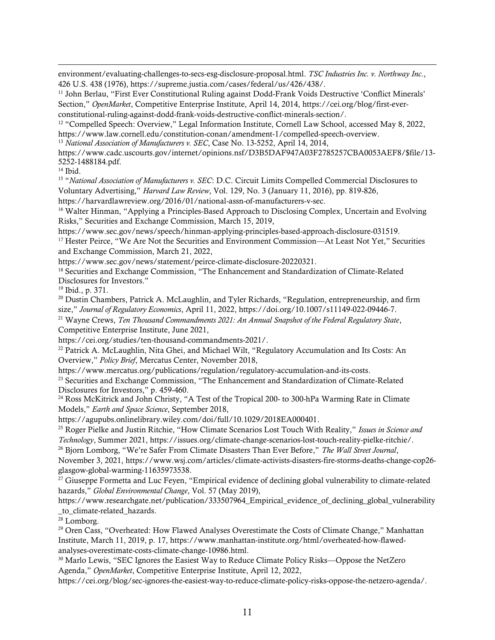[environment/evaluating-challenges-to-secs-esg-disclosure-proposal.html.](https://www.winston.com/en/winston-and-the-legal-environment/evaluating-challenges-to-secs-esg-disclosure-proposal.html) *TSC Industries Inc. v. Northway Inc*., 426 U.S. 438 (1976), https://supreme.justia.com/cases/federal/us/426/438/.

<sup>11</sup> John Berlau, "First Ever Constitutional Ruling against Dodd-Frank Voids Destructive 'Conflict Minerals' Section," *OpenMarket*, Competitive Enterprise Institute, April 14, 2014, [https://cei.org/blog/first-ever](https://cei.org/blog/first-ever-constitutional-ruling-against-dodd-frank-voids-destructive-conflict-minerals-section/)[constitutional-ruling-against-dodd-frank-voids-destructive-conflict-minerals-section/.](https://cei.org/blog/first-ever-constitutional-ruling-against-dodd-frank-voids-destructive-conflict-minerals-section/)

<sup>12</sup> "Compelled Speech: Overview," Legal Information Institute, Cornell Law School, accessed May 8, 2022, [https://www.law.cornell.edu/constitution-conan/amendment-1/compelled-speech-overview.](https://www.law.cornell.edu/constitution-conan/amendment-1/compelled-speech-overview)

<sup>13</sup> *National Association of Manufacturers v. SEC*, Case No. 13-5252, April 14, 2014,

[https://www.cadc.uscourts.gov/internet/opinions.nsf/D3B5DAF947A03F2785257CBA0053AEF8/\\$file/13-](https://www.cadc.uscourts.gov/internet/opinions.nsf/D3B5DAF947A03F2785257CBA0053AEF8/$file/13-5252-1488184.pdf) [5252-1488184.pdf.](https://www.cadc.uscourts.gov/internet/opinions.nsf/D3B5DAF947A03F2785257CBA0053AEF8/$file/13-5252-1488184.pdf)

<sup>14</sup> Ibid.

 $\overline{a}$ 

<sup>15</sup> "*National Association of Manufacturers v. SEC*: D.C. Circuit Limits Compelled Commercial Disclosures to Voluntary Advertising," *Harvard Law Review*, Vol. 129, No. 3 (January 11, 2016), pp. 819-826,

[https://harvardlawreview.org/2016/01/national-assn-of-manufacturers-v-sec.](https://harvardlawreview.org/2016/01/national-assn-of-manufacturers-v-sec)

<sup>16</sup> Walter Hinman, "Applying a Principles-Based Approach to Disclosing Complex, Uncertain and Evolving Risks," Securities and Exchange Commission, March 15, 2019,

[https://www.sec.gov/news/speech/hinman-applying-principles-based-approach-disclosure-031519.](https://www.sec.gov/news/speech/hinman-applying-principles-based-approach-disclosure-031519) <sup>17</sup> Hester Peirce, "We Are Not the Securities and Environment Commission—At Least Not Yet," Securities and Exchange Commission, March 21, 2022,

[https://www.sec.gov/news/statement/peirce-climate-disclosure-20220321.](https://www.sec.gov/news/statement/peirce-climate-disclosure-20220321)

<sup>18</sup> Securities and Exchange Commission, "The Enhancement and Standardization of Climate-Related Disclosures for Investors."

<sup>19</sup> Ibid., p. 371.

<sup>20</sup> Dustin Chambers, Patrick A. McLaughlin, and Tyler Richards, "Regulation, entrepreneurship, and firm size," *Journal of Regulatory Economics*, April 11, 2022[, https://doi.org/10.1007/s11149-022-09446-7.](https://doi.org/10.1007/s11149-022-09446-7)

<sup>21</sup> Wayne Crews, *Ten Thousand Commandments 2021: An Annual Snapshot of the Federal Regulatory State*, Competitive Enterprise Institute, June 2021,

[https://cei.org/studies/ten-thousand-commandments-2021/.](https://cei.org/studies/ten-thousand-commandments-2021/)

 $^{22}$  Patrick A. McLaughlin, Nita Ghei, and Michael Wilt, "Regulatory Accumulation and Its Costs: An Overview," *Policy Brief*, Mercatus Center, November 2018,

[https://www.mercatus.org/publications/regulation/regulatory-accumulation-and-its-costs.](https://www.mercatus.org/publications/regulation/regulatory-accumulation-and-its-costs)

<sup>23</sup> Securities and Exchange Commission, "The Enhancement and Standardization of Climate-Related Disclosures for Investors," p. 459-460.

<sup>24</sup> Ross McKitrick and John Christy, "A Test of the Tropical 200- to 300-hPa Warming Rate in Climate Models," *Earth and Space Science*, September 2018,

[https://agupubs.onlinelibrary.wiley.com/doi/full/10.1029/2018EA000401.](https://agupubs.onlinelibrary.wiley.com/doi/full/10.1029/2018EA000401)

<sup>25</sup> Roger Pielke and Justin Ritchie, "How Climate Scenarios Lost Touch With Reality," *Issues in Science and Technology*, Summer 2021[, https://issues.org/climate-change-scenarios-lost-touch-reality-pielke-ritchie/.](https://issues.org/climate-change-scenarios-lost-touch-reality-pielke-ritchie/)

<sup>26</sup> Bjorn Lomborg, "We're Safer From Climate Disasters Than Ever Before," *The Wall Street Journal*, November 3, 2021, [https://www.wsj.com/articles/climate-activists-disasters-fire-storms-deaths-change-cop26-](https://www.wsj.com/articles/climate-activists-disasters-fire-storms-deaths-change-cop26-glasgow-global-warming-11635973538)

[glasgow-global-warming-11635973538.](https://www.wsj.com/articles/climate-activists-disasters-fire-storms-deaths-change-cop26-glasgow-global-warming-11635973538)

<sup>27</sup> Giuseppe Formetta and Luc Feyen, "Empirical evidence of declining global vulnerability to climate-related hazards," *Global Environmental Change*, Vol. 57 (May 2019),

[https://www.researchgate.net/publication/333507964\\_Empirical\\_evidence\\_of\\_declining\\_global\\_vulnerability](https://www.researchgate.net/publication/333507964_Empirical_evidence_of_declining_global_vulnerability_to_climate-related_hazards) [\\_to\\_climate-related\\_hazards.](https://www.researchgate.net/publication/333507964_Empirical_evidence_of_declining_global_vulnerability_to_climate-related_hazards)

 $28$  Lomborg.

<sup>29</sup> Oren Cass, "Overheated: How Flawed Analyses Overestimate the Costs of Climate Change," Manhattan Institute, March 11, 2019, p. 17, [https://www.manhattan-institute.org/html/overheated-how-flawed](https://www.manhattan-institute.org/html/overheated-how-flawed-analyses-overestimate-costs-climate-change-10986.html)[analyses-overestimate-costs-climate-change-10986.html.](https://www.manhattan-institute.org/html/overheated-how-flawed-analyses-overestimate-costs-climate-change-10986.html)

<sup>30</sup> Marlo Lewis, "SEC Ignores the Easiest Way to Reduce Climate Policy Risks—Oppose the NetZero Agenda," *OpenMarket*, Competitive Enterprise Institute, April 12, 2022,

[https://cei.org/blog/sec-ignores-the-easiest-way-to-reduce-climate-policy-risks-oppose-the-netzero-agenda/.](https://cei.org/blog/sec-ignores-the-easiest-way-to-reduce-climate-policy-risks-oppose-the-netzero-agenda/)